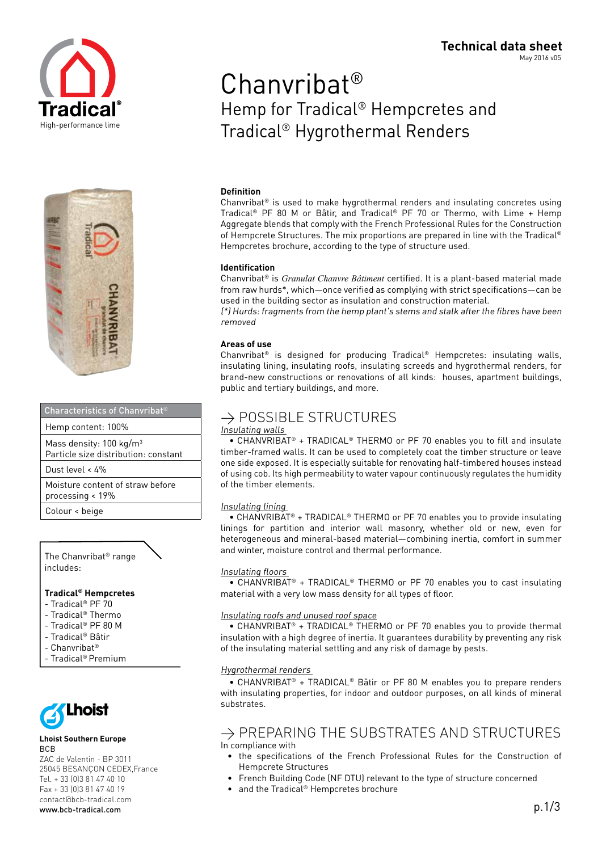



#### Characteristics of Chanvribat®

Hemp content: 100%

Mass density: 100 kg/m3

Particle size distribution: constant

Dust level < 4%

Moisture content of straw before processing < 19%

Colour < beige

#### The Chanvribat® range includes:

#### **Tradical® Hempcretes**

- Tradical® PF 70
- Tradical® Thermo
- Tradical® PF 80 M
- Tradical® Bâtir
- Chanvribat®
- Tradical® Premium



#### **Lhoist Southern Europe** BCB

ZAC de Valentin - BP 3011 25045 BESANÇON CEDEX,France Tel. + 33 (0)3 81 47 40 10 Fax + 33 (0)3 81 47 40 19 contact@bcb-tradical.com www.bcb-tradical.com p.1/3

# May 2016 v05 Chanvribat®

**Technical data sheet**

# Hemp for Tradical® Hempcretes and Tradical® Hygrothermal Renders

#### **Definition**

Chanvribat® is used to make hygrothermal renders and insulating concretes using Tradical® PF 80 M or Bâtir, and Tradical® PF 70 or Thermo, with Lime + Hemp Aggregate blends that comply with the French Professional Rules for the Construction of Hempcrete Structures. The mix proportions are prepared in line with the Tradical® Hempcretes brochure, according to the type of structure used.

#### **Identification**

Chanvribat® is *Granulat Chanvre Bâtiment* certified. It is a plant-based material made from raw hurds\*, which—once verified as complying with strict specifications—can be used in the building sector as insulation and construction material.

(\*) Hurds: fragments from the hemp plant's stems and stalk after the fibres have been removed

#### **Areas of use**

Chanvribat® is designed for producing Tradical® Hempcretes: insulating walls, insulating lining, insulating roofs, insulating screeds and hygrothermal renders, for brand-new constructions or renovations of all kinds: houses, apartment buildings, public and tertiary buildings, and more.

### $\rightarrow$  POSSIBLE STRUCTURES

#### Insulating walls

 • CHANVRIBAT® + TRADICAL® THERMO or PF 70 enables you to fill and insulate timber-framed walls. It can be used to completely coat the timber structure or leave one side exposed. It is especially suitable for renovating half-timbered houses instead of using cob. Its high permeability to water vapour continuously regulates the humidity of the timber elements.

#### Insulating lining

 • CHANVRIBAT® + TRADICAL® THERMO or PF 70 enables you to provide insulating linings for partition and interior wall masonry, whether old or new, even for heterogeneous and mineral-based material—combining inertia, comfort in summer and winter, moisture control and thermal performance.

#### Insulating floors

 • CHANVRIBAT® + TRADICAL® THERMO or PF 70 enables you to cast insulating material with a very low mass density for all types of floor.

#### Insulating roofs and unused roof space

 • CHANVRIBAT® + TRADICAL® THERMO or PF 70 enables you to provide thermal insulation with a high degree of inertia. It guarantees durability by preventing any risk of the insulating material settling and any risk of damage by pests.

#### Hygrothermal renders

 • CHANVRIBAT® + TRADICAL® Bâtir or PF 80 M enables you to prepare renders with insulating properties, for indoor and outdoor purposes, on all kinds of mineral substrates.

### $\rightarrow$  PREPARING THE SUBSTRATES AND STRUCTURES In compliance with

- the specifications of the French Professional Rules for the Construction of Hempcrete Structures
- French Building Code (NF DTU) relevant to the type of structure concerned
- and the Tradical® Hempcretes brochure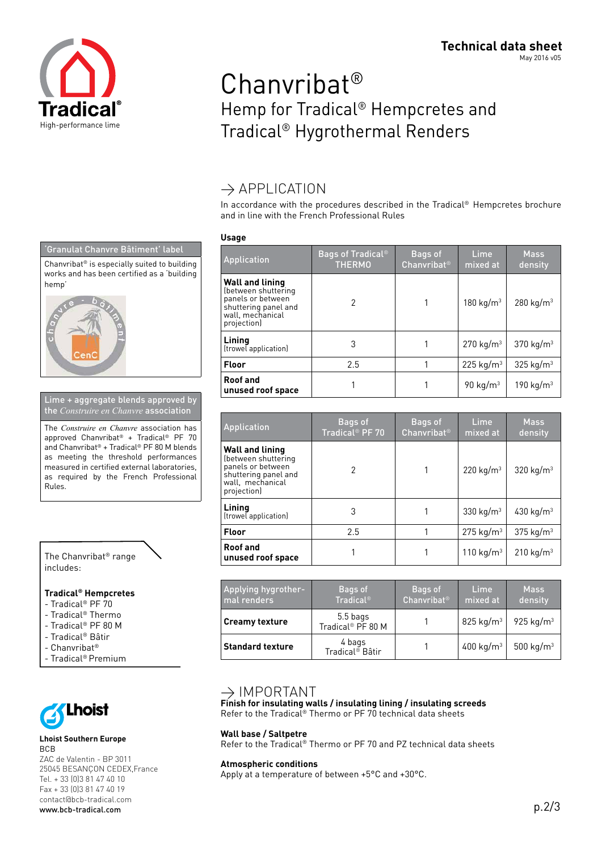

# Chanvribat® Hemp for Tradical® Hempcretes and Tradical® Hygrothermal Renders

## $\rightarrow$  APPLICATION

In accordance with the procedures described in the Tradical® Hempcretes brochure and in line with the French Professional Rules

#### **Usage**

| Application                                                                                                                   | <b>Bags of Tradical</b> <sup>®</sup><br><b>THERMO</b> | Bags of<br>Chanvribat <sup>®</sup> | Lime.<br>mixed at       | <b>Mass</b><br>density  |
|-------------------------------------------------------------------------------------------------------------------------------|-------------------------------------------------------|------------------------------------|-------------------------|-------------------------|
| <b>Wall and lining</b><br>(between shuttering<br>panels or between<br>shuttering panel and<br>wall, mechanical<br>projection) | 2                                                     |                                    | 180 kg/m <sup>3</sup>   | 280 kg/m <sup>3</sup>   |
| Lining<br>(trowel application)                                                                                                | 3                                                     |                                    | 270 kg/m <sup>3</sup>   | 370 $kg/m3$             |
| <b>Floor</b>                                                                                                                  | 2.5                                                   |                                    | $225$ kg/m <sup>3</sup> | $325$ kg/m <sup>3</sup> |
| <b>Roof and</b><br>unused roof space                                                                                          |                                                       |                                    | 90 kg/m $3$             | 190 kg/m <sup>3</sup>   |

| <b>Application</b>                                                                                                     | Bags of<br>Tradical <sup>®</sup> PF 70 | Bags of<br><b>Chanvribat<sup>®</sup></b> | Lime<br>mixed at        | <b>Mass</b><br>density  |
|------------------------------------------------------------------------------------------------------------------------|----------------------------------------|------------------------------------------|-------------------------|-------------------------|
| Wall and lining<br>(between shuttering<br>panels or between<br>shuttering panel and<br>wall, mechanical<br>projection) | 2                                      |                                          | 220 kg/ $m3$            | 320 kg/ $m3$            |
| Lining<br>(trowel application)                                                                                         | 3                                      |                                          | 330 kg/ $m3$            | 430 kg/ $m3$            |
| Floor                                                                                                                  | 2.5                                    |                                          | $275$ kg/m <sup>3</sup> | $375$ kg/m <sup>3</sup> |
| Roof and<br>unused roof space                                                                                          |                                        |                                          | 110 kg/ $m3$            | 210 kg/m <sup>3</sup>   |

| Applying hygrother-<br>mal renders | Bags of<br><b>Tradical®</b>               | Bags of<br>Chanvribat <sup>®</sup> | Lime<br>mixed at | <b>Mass</b><br>density |
|------------------------------------|-------------------------------------------|------------------------------------|------------------|------------------------|
| <b>Creamy texture</b>              | 5.5 bags<br>Tradical <sup>®</sup> PF 80 M |                                    | 825 kg/ $m3$     | 925 kg/ $m3$           |
| <b>Standard texture</b>            | 4 bags<br>Tradical® Bâtir                 |                                    | 400 kg/ $m3$     | 500 kg/m <sup>3</sup>  |

### $\rightarrow$  IMPORTANT

**Finish for insulating walls / insulating lining / insulating screeds**  Refer to the Tradical® Thermo or PF 70 technical data sheets

**Wall base / Saltpetre**

Refer to the Tradical® Thermo or PF 70 and PZ technical data sheets

**Atmospheric conditions**

Apply at a temperature of between +5°C and +30°C.





Lime + aggregate blends approved by the *Construire en Chanvre* association

The *Construire en Chanvre* association has approved Chanvribat® + Tradical® PF 70 and Chanvribat® + Tradical® PF 80 M blends as meeting the threshold performances measured in certified external laboratories, as required by the French Professional Rules.



### **Tradical® Hempcretes**

- Tradical® PF 70
- Tradical® Thermo
- Tradical® PF 80 M
- Tradical® Bâtir
- Chanvribat®
- Tradical® Premium



#### **Lhoist Southern Europe** BCB

ZAC de Valentin - BP 3011 25045 BESANÇON CEDEX,France Tel. + 33 (0)3 81 47 40 10 Fax + 33 (0)3 81 47 40 19 contact@bcb-tradical.com www.bcb-tradical.com p.2/3